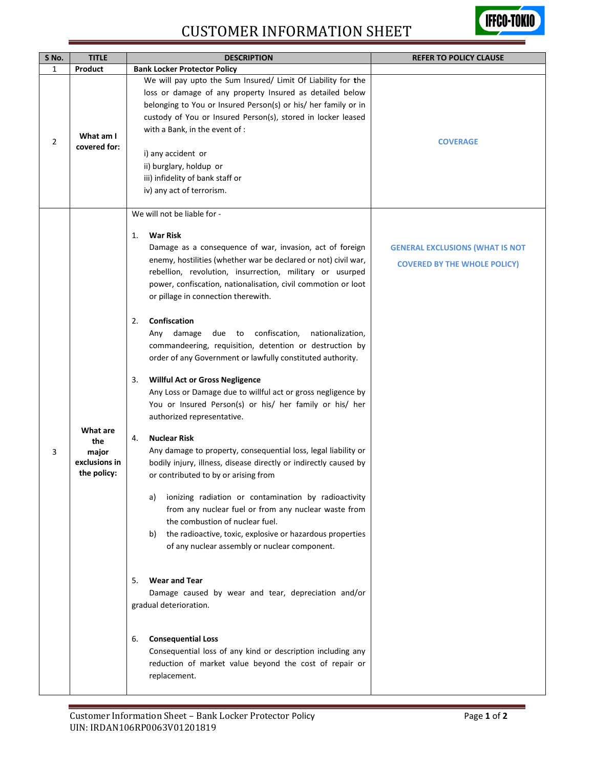## CUSTOMER INFORMATION SHEET



| $\mathbf{1}$<br>Product |                                                          | <b>Bank Locker Protector Policy</b>                                                                                                                                                                                                                                                                                                                                                                                                                                                                                                                                                                                                                                                                                                                                                                                                                                                                                                                                                                                                                                                                                                                                                                                                                                                                                                                                                                                                                                                                                                            |                                                                               |
|-------------------------|----------------------------------------------------------|------------------------------------------------------------------------------------------------------------------------------------------------------------------------------------------------------------------------------------------------------------------------------------------------------------------------------------------------------------------------------------------------------------------------------------------------------------------------------------------------------------------------------------------------------------------------------------------------------------------------------------------------------------------------------------------------------------------------------------------------------------------------------------------------------------------------------------------------------------------------------------------------------------------------------------------------------------------------------------------------------------------------------------------------------------------------------------------------------------------------------------------------------------------------------------------------------------------------------------------------------------------------------------------------------------------------------------------------------------------------------------------------------------------------------------------------------------------------------------------------------------------------------------------------|-------------------------------------------------------------------------------|
|                         |                                                          |                                                                                                                                                                                                                                                                                                                                                                                                                                                                                                                                                                                                                                                                                                                                                                                                                                                                                                                                                                                                                                                                                                                                                                                                                                                                                                                                                                                                                                                                                                                                                |                                                                               |
| 2                       | What am I<br>covered for:                                | We will pay upto the Sum Insured/ Limit Of Liability for the<br>loss or damage of any property Insured as detailed below<br>belonging to You or Insured Person(s) or his/ her family or in<br>custody of You or Insured Person(s), stored in locker leased<br>with a Bank, in the event of :<br>i) any accident or<br>ii) burglary, holdup or<br>iii) infidelity of bank staff or<br>iv) any act of terrorism.                                                                                                                                                                                                                                                                                                                                                                                                                                                                                                                                                                                                                                                                                                                                                                                                                                                                                                                                                                                                                                                                                                                                 | <b>COVERAGE</b>                                                               |
| 3                       | What are<br>the<br>major<br>exclusions in<br>the policy: | We will not be liable for -<br><b>War Risk</b><br>1.<br>Damage as a consequence of war, invasion, act of foreign<br>enemy, hostilities (whether war be declared or not) civil war,<br>rebellion, revolution, insurrection, military or usurped<br>power, confiscation, nationalisation, civil commotion or loot<br>or pillage in connection therewith.<br>Confiscation<br>2.<br>due to<br>confiscation,<br>Any damage<br>nationalization,<br>commandeering, requisition, detention or destruction by<br>order of any Government or lawfully constituted authority.<br><b>Willful Act or Gross Negligence</b><br>3.<br>Any Loss or Damage due to willful act or gross negligence by<br>You or Insured Person(s) or his/ her family or his/ her<br>authorized representative.<br><b>Nuclear Risk</b><br>4.<br>Any damage to property, consequential loss, legal liability or<br>bodily injury, illness, disease directly or indirectly caused by<br>or contributed to by or arising from<br>ionizing radiation or contamination by radioactivity<br>a)<br>from any nuclear fuel or from any nuclear waste from<br>the combustion of nuclear fuel.<br>the radioactive, toxic, explosive or hazardous properties<br>b)<br>of any nuclear assembly or nuclear component.<br><b>Wear and Tear</b><br>5.<br>Damage caused by wear and tear, depreciation and/or<br>gradual deterioration.<br><b>Consequential Loss</b><br>6.<br>Consequential loss of any kind or description including any<br>reduction of market value beyond the cost of repair or | <b>GENERAL EXCLUSIONS (WHAT IS NOT</b><br><b>COVERED BY THE WHOLE POLICY)</b> |